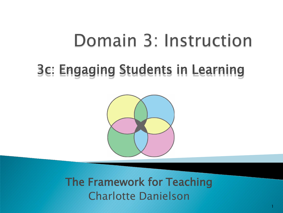# Domain 3: Instruction

## 3c: Engaging Students in Learning



The Framework for Teaching Charlotte Danielson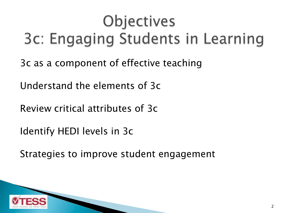# Objectives 3c: Engaging Students in Learning

3c as a component of effective teaching

Understand the elements of 3c

Review critical attributes of 3c

Identify HEDI levels in 3c

Strategies to improve student engagement

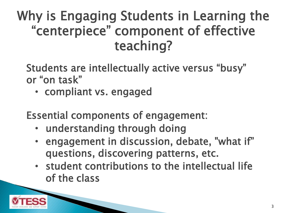### Why is Engaging Students in Learning the "centerpiece" component of effective teaching?

Students are intellectually active versus "busy" or "on task"

• compliant vs. engaged

Essential components of engagement:

- understanding through doing
- engagement in discussion, debate, "what if" questions, discovering patterns, etc.
- student contributions to the intellectual life of the class

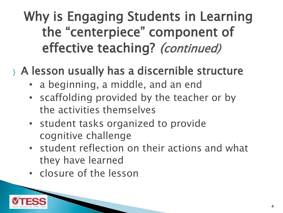### Why is Engaging Students in Learning the "centerpiece" component of effective teaching? (continued)

#### } A lesson usually has a discernible structure

- a beginning, a middle, and an end
- scaffolding provided by the teacher or by the activities themselves
- student tasks organized to provide cognitive challenge
- student reflection on their actions and what they have learned
- closure of the lesson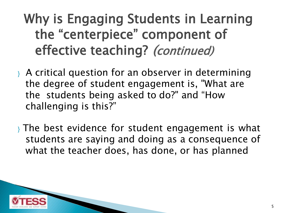### Why is Engaging Students in Learning the "centerpiece" component of effective teaching? (continued)

- } A critical question for an observer in determining the degree of student engagement is, "What are the students being asked to do?" and "How challenging is this?"
- } The best evidence for student engagement is what students are saying and doing as a consequence of what the teacher does, has done, or has planned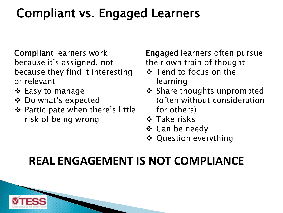### Compliant vs. Engaged Learners

Compliant learners work because it's assigned, not because they find it interesting or relevant

- ❖ Easy to manage
- Do what's expected
- Participate when there's little risk of being wrong

Engaged learners often pursue their own train of thought

- ❖ Tend to focus on the learning
- ❖ Share thoughts unprompted (often without consideration for others)
- **❖ Take risks**
- Can be needy
- **❖ Question everything**

#### **REAL ENGAGEMENT IS NOT COMPLIANCE**

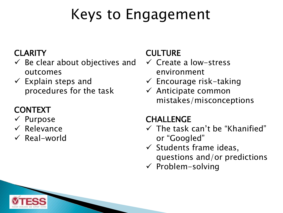# Keys to Engagement

#### **CLARITY**

- $\checkmark$  Be clear about objectives and outcomes
- $\checkmark$  Explain steps and procedures for the task

#### CONTEXT

- $\checkmark$  Purpose
- $\checkmark$  Relevance
- $\checkmark$  Real-world

#### CULTURE

- $\checkmark$  Create a low-stress environment
- $\checkmark$  Encourage risk-taking
- $\checkmark$  Anticipate common mistakes/misconceptions

#### **CHALLENGE**

- $\checkmark$  The task can't be "Khanified" or "Googled"
- $\checkmark$  Students frame ideas, questions and/or predictions
- $\checkmark$  Problem-solving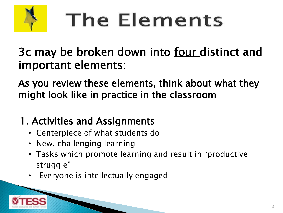

# The Elements

3c may be broken down into <u>four distinct and</u> important elements:

As you review these elements, think about what they might look like in practice in the classroom

#### 1. Activities and Assignments

- Centerpiece of what students do
- New, challenging learning
- Tasks which promote learning and result in "productive struggle"
- Everyone is intellectually engaged

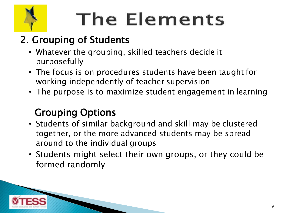

# **The Elements**

#### 2. Grouping of Students

- Whatever the grouping, skilled teachers decide it purposefully
- The focus is on procedures students have been taught for working independently of teacher supervision
- The purpose is to maximize student engagement in learning

#### Grouping Options

- Students of similar background and skill may be clustered together, or the more advanced students may be spread around to the individual groups
- Students might select their own groups, or they could be formed randomly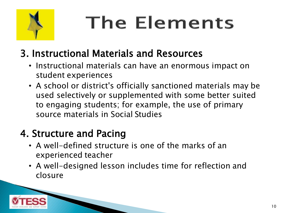

# **The Elements**

#### 3. Instructional Materials and Resources

- Instructional materials can have an enormous impact on student experiences
- A school or district's officially sanctioned materials may be used selectively or supplemented with some better suited to engaging students; for example, the use of primary source materials in Social Studies

#### 4. Structure and Pacing

- A well-defined structure is one of the marks of an experienced teacher
- A well-designed lesson includes time for reflection and closure

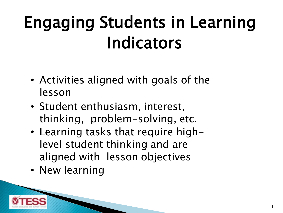# Engaging Students in Learning Indicators

- Activities aligned with goals of the lesson
- Student enthusiasm, interest, thinking, problem-solving, etc.
- Learning tasks that require highlevel student thinking and are aligned with lesson objectives
- New learning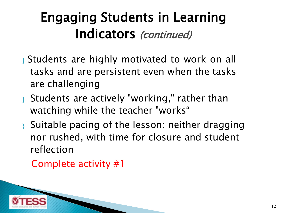### Engaging Students in Learning Indicators (continued)

- } Students are highly motivated to work on all tasks and are persistent even when the tasks are challenging
- } Students are actively "working," rather than watching while the teacher "works"
- } Suitable pacing of the lesson: neither dragging nor rushed, with time for closure and student reflection

Complete activity #1

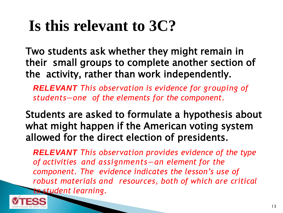Two students ask whether they might remain in their small groups to complete another section of the activity, rather than work independently.

*RELEVANT This observation is evidence for grouping of students—one of the elements for the component.*

Students are asked to formulate a hypothesis about what might happen if the American voting system allowed for the direct election of presidents.

*RELEVANT This observation provides evidence of the type of activities and assignments—an element for the component. The evidence indicates the lesson's use of robust materials and resources, both of which are critical to student learning.*

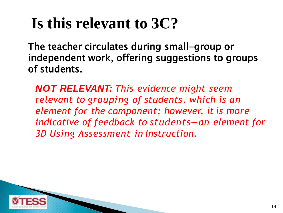The teacher circulates during small-group or independent work, offering suggestions to groups of students.

*NOT RELEVANT: This evidence might seem relevant to grouping of students, which is an element for the component; however, it is more indicative of feedback to students—an element for 3D Using Assessment in Instruction.*

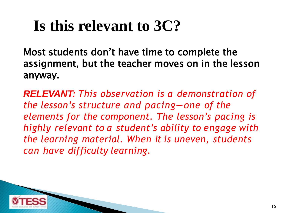Most students don't have time to complete the assignment, but the teacher moves on in the lesson anyway.

*RELEVANT: This observation is a demonstration of the lesson's structure and pacing—one of the elements for the component. The lesson's pacing is highly relevant to a student's ability to engage with the learning material. When it is uneven, students can have difficulty learning.*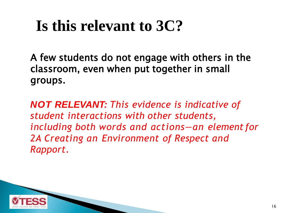A few students do not engage with others in the classroom, even when put together in small groups.

*NOT RELEVANT: This evidence is indicative of student interactions with other students, including both words and actions—an element for 2A Creating an Environment of Respect and Rapport.*

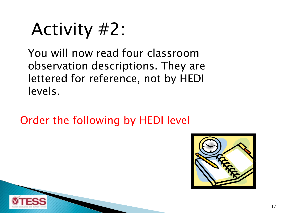# Activity #2:

You will now read four classroom observation descriptions. They are lettered for reference, not by HEDI levels.

Order the following by HEDI level

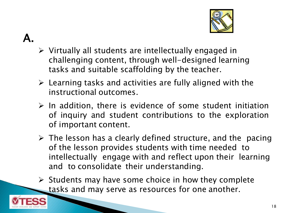

- $\mathbf{A}_{-}$
- $\triangleright$  Virtually all students are intellectually engaged in challenging content, through well-designed learning tasks and suitable scaffolding by the teacher.
- $\triangleright$  Learning tasks and activities are fully aligned with the instructional outcomes.
- $\triangleright$  In addition, there is evidence of some student initiation of inquiry and student contributions to the exploration of important content.
- $\triangleright$  The lesson has a clearly defined structure, and the pacing of the lesson provides students with time needed to intellectually engage with and reflect upon their learning and to consolidate their understanding.
- $\triangleright$  Students may have some choice in how they complete tasks and may serve as resources for one another.

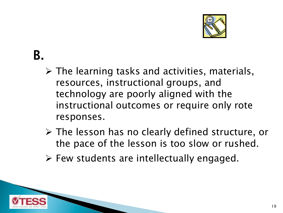

### B.

- $\triangleright$  The learning tasks and activities, materials, resources, instructional groups, and technology are poorly aligned with the instructional outcomes or require only rote responses.
- The lesson has no clearly defined structure, or the pace of the lesson is too slow or rushed.
- $\triangleright$  Few students are intellectually engaged.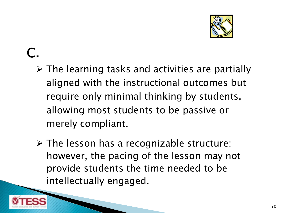

### $\bigcap$

- $\triangleright$  The learning tasks and activities are partially aligned with the instructional outcomes but require only minimal thinking by students, allowing most students to be passive or merely compliant.
- $\triangleright$  The lesson has a recognizable structure; however, the pacing of the lesson may not provide students the time needed to be intellectually engaged.

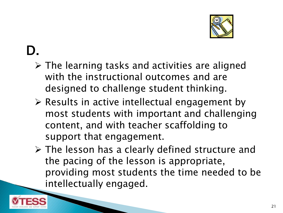

#### D.

- $\triangleright$  The learning tasks and activities are aligned with the instructional outcomes and are designed to challenge student thinking.
- $\triangleright$  Results in active intellectual engagement by most students with important and challenging content, and with teacher scaffolding to support that engagement.
- The lesson has a clearly defined structure and the pacing of the lesson is appropriate, providing most students the time needed to be intellectually engaged.

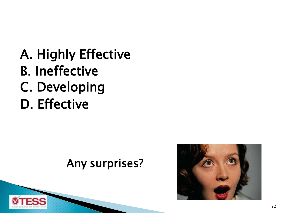A. Highly Effective B. Ineffective C. Developing D. Effective

#### Any surprises?



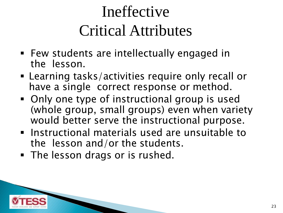# Ineffective Critical Attributes

- Few students are intellectually engaged in the lesson.
- Learning tasks/activities require only recall or have a single correct response or method.
- Only one type of instructional group is used (whole group, small groups) even when variety would better serve the instructional purpose.
- **Instructional materials used are unsuitable to** the lesson and/or the students.
- **The lesson drags or is rushed.**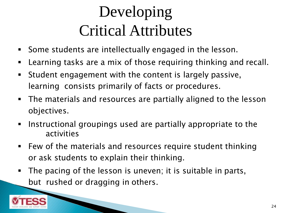# Developing Critical Attributes

- Some students are intellectually engaged in the lesson.
- Learning tasks are a mix of those requiring thinking and recall.
- Student engagement with the content is largely passive, learning consists primarily of facts or procedures.
- The materials and resources are partially aligned to the lesson objectives.
- **Instructional groupings used are partially appropriate to the** activities
- **Few of the materials and resources require student thinking** or ask students to explain their thinking.
- The pacing of the lesson is uneven; it is suitable in parts, but rushed or dragging in others.

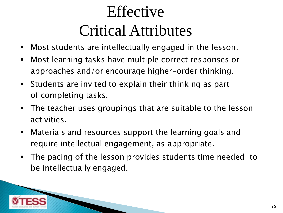# Effective Critical Attributes

- Most students are intellectually engaged in the lesson.
- Most learning tasks have multiple correct responses or approaches and/or encourage higher-order thinking.
- Students are invited to explain their thinking as part of completing tasks.
- The teacher uses groupings that are suitable to the lesson activities.
- Materials and resources support the learning goals and require intellectual engagement, as appropriate.
- The pacing of the lesson provides students time needed to be intellectually engaged.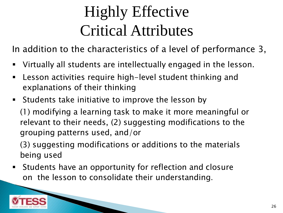# Highly Effective Critical Attributes

In addition to the characteristics of a level of performance 3,

- Virtually all students are intellectually engaged in the lesson.
- Lesson activities require high-level student thinking and explanations of their thinking
- **Students take initiative to improve the lesson by**

(1) modifying a learning task to make it more meaningful or relevant to their needs, (2) suggesting modifications to the grouping patterns used, and/or

(3) suggesting modifications or additions to the materials being used

 Students have an opportunity for reflection and closure on the lesson to consolidate their understanding.

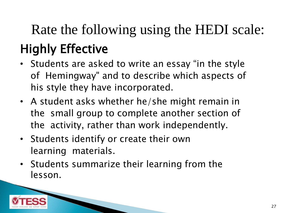# Highly Effective Rate the following using the HEDI scale:

- Students are asked to write an essay "in the style of Hemingway" and to describe which aspects of his style they have incorporated.
- A student asks whether he/she might remain in the small group to complete another section of the activity, rather than work independently.
- Students identify or create their own learning materials.
- Students summarize their learning from the lesson.

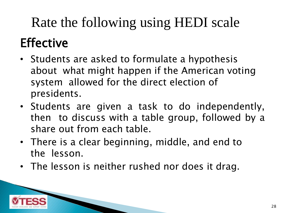## Rate the following using HEDI scale

## **Effective**

- Students are asked to formulate a hypothesis about what might happen if the American voting system allowed for the direct election of presidents.
- Students are given a task to do independently, then to discuss with a table group, followed by a share out from each table.
- There is a clear beginning, middle, and end to the lesson.
- The lesson is neither rushed nor does it drag.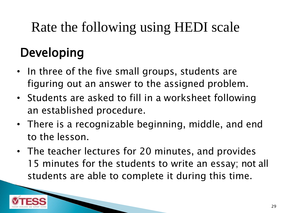## Rate the following using HEDI scale

### Developing

- In three of the five small groups, students are figuring out an answer to the assigned problem.
- Students are asked to fill in a worksheet following an established procedure.
- There is a recognizable beginning, middle, and end to the lesson.
- The teacher lectures for 20 minutes, and provides 15 minutes for the students to write an essay; not all students are able to complete it during this time.

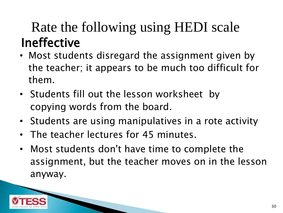### Ineffective Rate the following using HEDI scale

- Most students disregard the assignment given by the teacher; it appears to be much too difficult for them.
- Students fill out the lesson worksheet by copying words from the board.
- Students are using manipulatives in a rote activity
- The teacher lectures for 45 minutes.
- Most students don't have time to complete the assignment, but the teacher moves on in the lesson anyway.